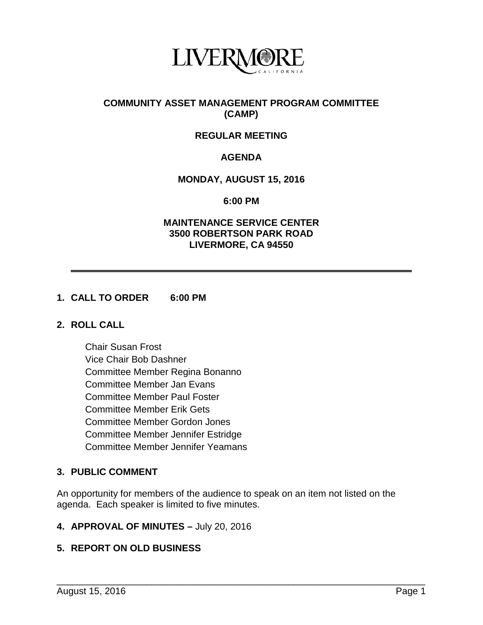

## **COMMUNITY ASSET MANAGEMENT PROGRAM COMMITTEE (CAMP)**

# **REGULAR MEETING**

# **AGENDA**

## **MONDAY, AUGUST 15, 2016**

#### **6:00 PM**

## **MAINTENANCE SERVICE CENTER 3500 ROBERTSON PARK ROAD LIVERMORE, CA 94550**

#### **1. CALL TO ORDER 6:00 PM**

#### **2. ROLL CALL**

Chair Susan Frost Vice Chair Bob Dashner Committee Member Regina Bonanno Committee Member Jan Evans Committee Member Paul Foster Committee Member Erik Gets Committee Member Gordon Jones Committee Member Jennifer Estridge Committee Member Jennifer Yeamans

# **3. PUBLIC COMMENT**

An opportunity for members of the audience to speak on an item not listed on the agenda. Each speaker is limited to five minutes.

\_\_\_\_\_\_\_\_\_\_\_\_\_\_\_\_\_\_\_\_\_\_\_\_\_\_\_\_\_\_\_\_\_\_\_\_\_\_\_\_\_\_\_\_\_\_\_\_\_\_\_\_\_\_\_\_\_\_\_\_\_\_\_\_\_\_\_\_\_\_

#### **4. APPROVAL OF MINUTES –** July 20, 2016

# **5. REPORT ON OLD BUSINESS**